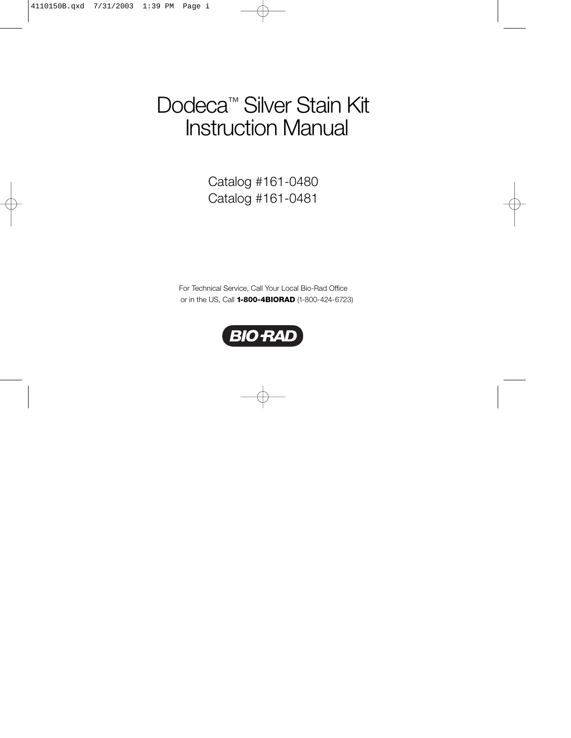# Dodeca<sup>™</sup> Silver Stain Kit Instruction Manual

Catalog #161-0480 Catalog #161-0481

For Technical Service, Call Your Local Bio-Rad Office or in the US, Call **1-800-4BIORAD** (1-800-424-6723)

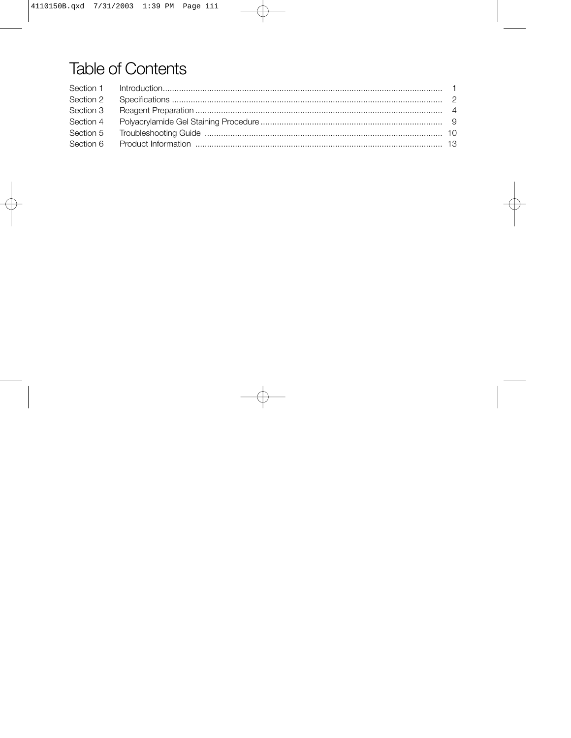## **Table of Contents**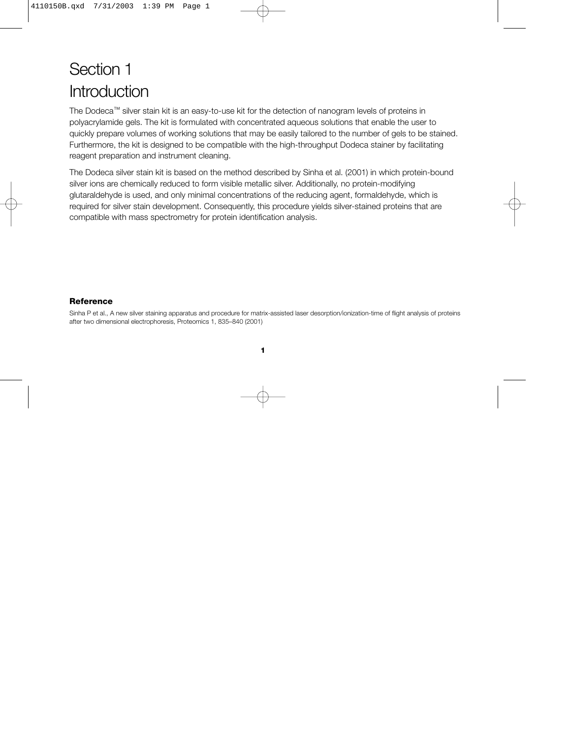## Section 1 Introduction

The Dodeca™ silver stain kit is an easy-to-use kit for the detection of nanogram levels of proteins in polyacrylamide gels. The kit is formulated with concentrated aqueous solutions that enable the user to quickly prepare volumes of working solutions that may be easily tailored to the number of gels to be stained. Furthermore, the kit is designed to be compatible with the high-throughput Dodeca stainer by facilitating reagent preparation and instrument cleaning.

The Dodeca silver stain kit is based on the method described by Sinha et al. (2001) in which protein-bound silver ions are chemically reduced to form visible metallic silver. Additionally, no protein-modifying glutaraldehyde is used, and only minimal concentrations of the reducing agent, formaldehyde, which is required for silver stain development. Consequently, this procedure yields silver-stained proteins that are compatible with mass spectrometry for protein identification analysis.

### **Reference**

Sinha P et al., A new silver staining apparatus and procedure for matrix-assisted laser desorption/ionization-time of flight analysis of proteins after two dimensional electrophoresis, Proteomics 1, 835–840 (2001)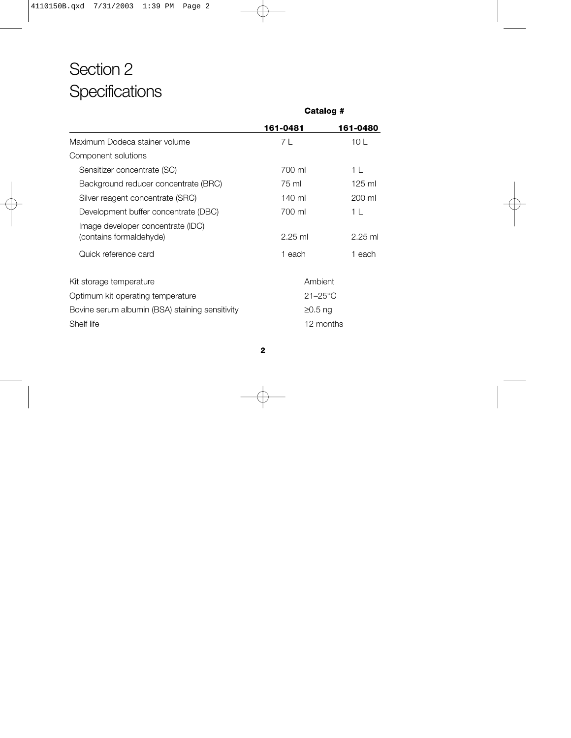## Section 2 **Specifications**

|                                                              | Galalog #    |           |
|--------------------------------------------------------------|--------------|-----------|
|                                                              | 161-0481     | 161-0480  |
| Maximum Dodeca stainer volume                                | 7 L          | 10L       |
| Component solutions                                          |              |           |
| Sensitizer concentrate (SC)                                  | 700 ml       | 1 L       |
| Background reducer concentrate (BRC)                         | 75 ml        | $125$ ml  |
| Silver reagent concentrate (SRC)                             | 140 ml       | 200 ml    |
| Development buffer concentrate (DBC)                         | 700 ml       | 1 L       |
| Image developer concentrate (IDC)<br>(contains formaldehyde) | $2.25$ ml    | $2.25$ ml |
| Quick reference card                                         | 1 each       | 1 each    |
| Kit storage temperature                                      | Ambient      |           |
| Optimum kit operating temperature                            | $21 - 25$ °C |           |
| Bovine serum albumin (BSA) staining sensitivity              | $≥0.5$ ng    |           |
| Shelf life                                                   |              | 12 months |

**Catalog #**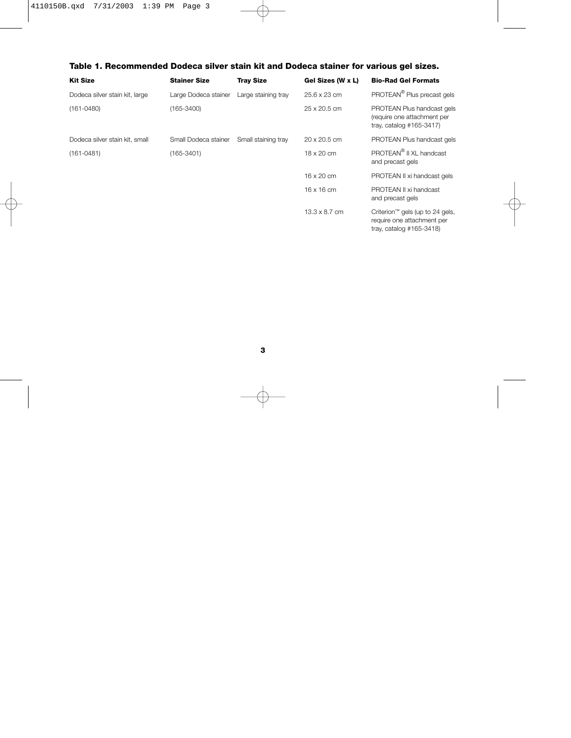### **Table 1. Recommended Dodeca silver stain kit and Dodeca stainer for various gel sizes.**

| <b>Kit Size</b>                | <b>Stainer Size</b>  | <b>Tray Size</b>    | Gel Sizes (W x L)    | <b>Bio-Rad Gel Formats</b>                                                                               |
|--------------------------------|----------------------|---------------------|----------------------|----------------------------------------------------------------------------------------------------------|
| Dodeca silver stain kit, large | Large Dodeca stainer | Large staining tray | 25.6 x 23 cm         | PROTEAN <sup>®</sup> Plus precast gels                                                                   |
| $(161 - 0480)$                 | $(165 - 3400)$       |                     | 25 x 20.5 cm         | PROTEAN Plus handcast gels<br>(require one attachment per<br>tray, catalog $#165-3417$ )                 |
| Dodeca silver stain kit, small | Small Dodeca stainer | Small staining tray | 20 x 20.5 cm         | PROTEAN Plus handcast gels                                                                               |
| $(161 - 0481)$                 | (165-3401)           |                     | $18 \times 20$ cm    | PROTEAN <sup>®</sup> II XL handcast<br>and precast gels                                                  |
|                                |                      |                     | $16 \times 20$ cm    | PROTEAN II xi handcast gels                                                                              |
|                                |                      |                     | $16 \times 16$ cm    | PROTEAN II xi handcast<br>and precast gels                                                               |
|                                |                      |                     | $13.3 \times 8.7$ cm | Criterion <sup>™</sup> gels (up to 24 gels,<br>require one attachment per<br>tray, catalog $#165-3418$ ) |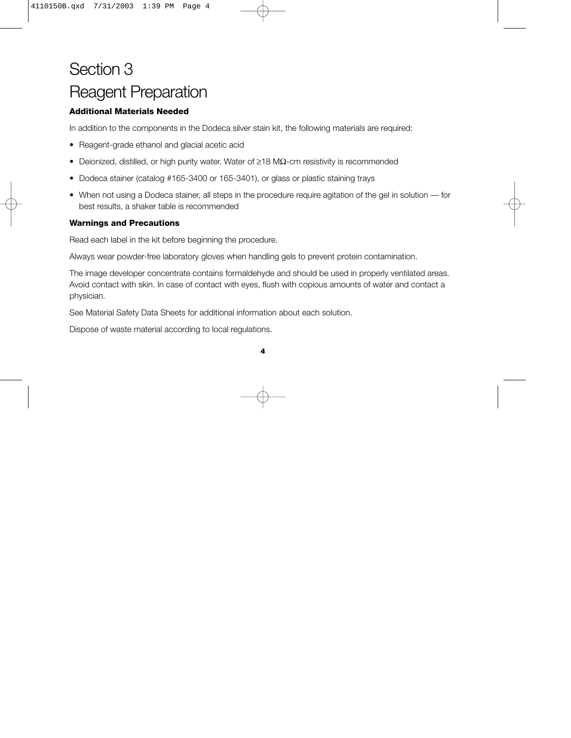## Section 3 Reagent Preparation

### **Additional Materials Needed**

In addition to the components in the Dodeca silver stain kit, the following materials are required:

- Reagent-grade ethanol and glacial acetic acid
- Deionized, distilled, or high purity water. Water of ≥18 MΩ-cm resistivity is recommended
- Dodeca stainer (catalog #165-3400 or 165-3401), or glass or plastic staining trays
- When not using a Dodeca stainer, all steps in the procedure require agitation of the gel in solution for best results, a shaker table is recommended

### **Warnings and Precautions**

Read each label in the kit before beginning the procedure.

Always wear powder-free laboratory gloves when handling gels to prevent protein contamination.

The image developer concentrate contains formaldehyde and should be used in properly ventilated areas. Avoid contact with skin. In case of contact with eyes, flush with copious amounts of water and contact a physician.

See Material Safety Data Sheets for additional information about each solution.

Dispose of waste material according to local regulations.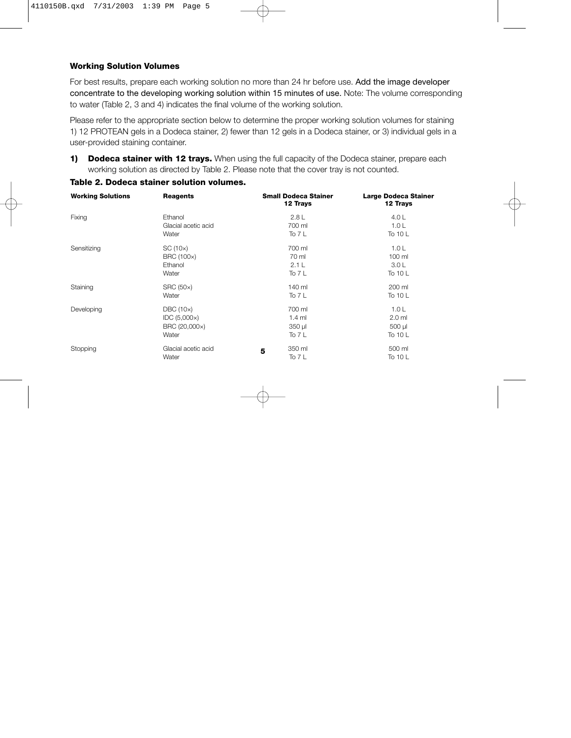### **Working Solution Volumes**

For best results, prepare each working solution no more than 24 hr before use. Add the image developer concentrate to the developing working solution within 15 minutes of use. Note: The volume corresponding to water (Table 2, 3 and 4) indicates the final volume of the working solution.

Please refer to the appropriate section below to determine the proper working solution volumes for staining 1) 12 PROTEAN gels in a Dodeca stainer, 2) fewer than 12 gels in a Dodeca stainer, or 3) individual gels in a user-provided staining container.

**1) Dodeca stainer with 12 trays.** When using the full capacity of the Dodeca stainer, prepare each working solution as directed by Table 2. Please note that the cover tray is not counted.

| <b>Working Solutions</b> | <b>Reagents</b>     | <b>Small Dodeca Stainer</b><br>12 Trays | Large Dodeca Stainer<br>12 Trays |
|--------------------------|---------------------|-----------------------------------------|----------------------------------|
| Fixing                   | Ethanol             | 2.8L                                    | 4.0 $\mathsf{L}$                 |
|                          | Glacial acetic acid | 700 ml                                  | 1.0 <sub>L</sub>                 |
|                          | Water               | To $7L$                                 | To 10 L                          |
| Sensitizing              | SC(10x)             | 700 ml                                  | 1.0 <sub>L</sub>                 |
|                          | BRC (100x)          | 70 ml                                   | 100 ml                           |
|                          | Ethanol             | 2.1L                                    | 3.0 <sub>L</sub>                 |
|                          | Water               | To $7L$                                 | To 10 L                          |
| Staining                 | <b>SRC (50x)</b>    | 140 ml                                  | 200 ml                           |
|                          | Water               | To $7L$                                 | To 10 L                          |
| Developing               | DBC(10x)            | 700 ml                                  | 1.0 <sub>L</sub>                 |
|                          | IDC (5,000x)        | $1.4$ ml                                | $2.0$ ml                         |
|                          | BRC (20,000x)       | 350 µl                                  | 500 µl                           |
|                          | Water               | To $7L$                                 | To 10 L                          |
| Stopping                 | Glacial acetic acid | 350 ml<br>5                             | 500 ml                           |
|                          | Water               | To 7 L                                  | To 10 L                          |

### **Table 2. Dodeca stainer solution volumes.**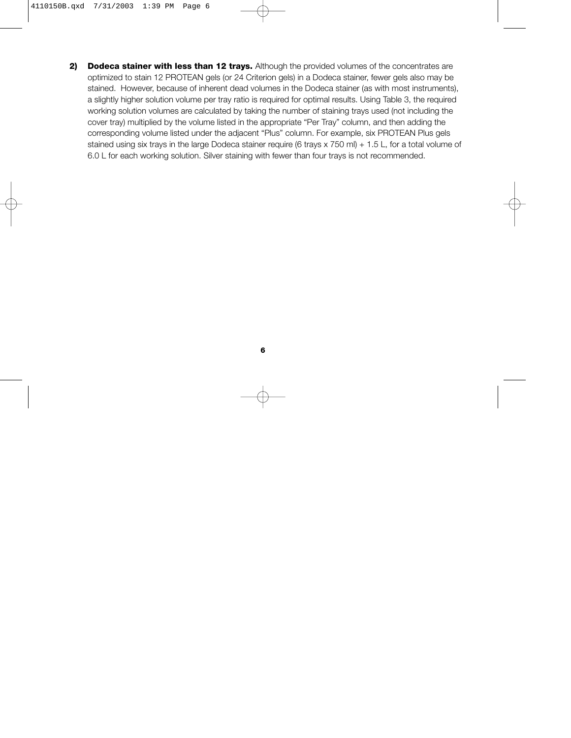**2) Dodeca stainer with less than 12 trays.** Although the provided volumes of the concentrates are optimized to stain 12 PROTEAN gels (or 24 Criterion gels) in a Dodeca stainer, fewer gels also may be stained. However, because of inherent dead volumes in the Dodeca stainer (as with most instruments), a slightly higher solution volume per tray ratio is required for optimal results. Using Table 3, the required working solution volumes are calculated by taking the number of staining trays used (not including the cover tray) multiplied by the volume listed in the appropriate "Per Tray" column, and then adding the corresponding volume listed under the adjacent "Plus" column. For example, six PROTEAN Plus gels stained using six trays in the large Dodeca stainer require (6 trays x 750 ml) + 1.5 L, for a total volume of 6.0 L for each working solution. Silver staining with fewer than four trays is not recommended.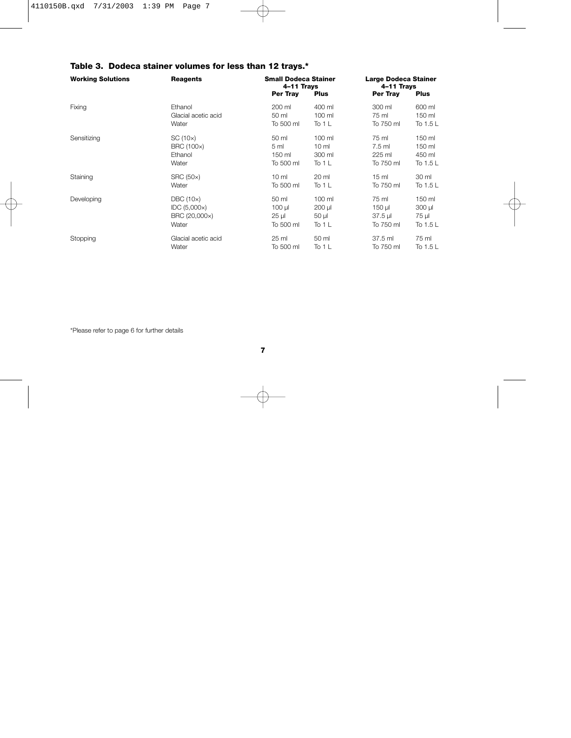| <b>Working Solutions</b> | <b>Reagents</b>     | <b>Small Dodeca Stainer</b><br>4-11 Trays |                 | <b>Large Dodeca Stainer</b><br>4-11 Trays |             |
|--------------------------|---------------------|-------------------------------------------|-----------------|-------------------------------------------|-------------|
|                          |                     | Per Tray                                  | <b>Plus</b>     | Per Tray                                  | <b>Plus</b> |
| Fixing                   | Ethanol             | 200 ml                                    | 400 ml          | 300 ml                                    | 600 ml      |
|                          | Glacial acetic acid | 50 ml                                     | 100 ml          | 75 ml                                     | 150 ml      |
|                          | Water               | To 500 ml                                 | To 1 $L$        | To 750 ml                                 | To 1.5 L    |
| Sensitizing              | SC(10x)             | 50 ml                                     | 100 ml          | 75 ml                                     | 150 ml      |
|                          | BRC (100x)          | 5 <sub>m</sub>                            | 10 <sub>m</sub> | $7.5$ ml                                  | 150 ml      |
|                          | Ethanol             | 150 ml                                    | 300 ml          | 225 ml                                    | 450 ml      |
|                          | Water               | To 500 ml                                 | To 1 $L$        | To 750 ml                                 | To 1.5 $L$  |
| Staining                 | <b>SRC (50x)</b>    | 10 <sub>m</sub>                           | 20 ml           | 15 <sub>ml</sub>                          | 30 ml       |
|                          | Water               | To 500 ml                                 | To 1 $L$        | To 750 ml                                 | To 1.5 $L$  |
| Developing               | DBC(10x)            | 50 ml                                     | 100 ml          | 75 ml                                     | 150 ml      |
|                          | IDC (5,000x)        | $100 \mu$                                 | 200 µl          | 150 µl                                    | $300$ $\mu$ |
|                          | BRC (20,000x)       | $25 \mu$                                  | $50 \mu$        | $37.5$ µ                                  | 75 µl       |
|                          | Water               | To 500 ml                                 | To 1 $L$        | To 750 ml                                 | To 1.5 L    |
| Stopping                 | Glacial acetic acid | 25 ml                                     | 50 ml           | 37.5 ml                                   | 75 ml       |
|                          | Water               | To 500 ml                                 | To 1 L          | To 750 ml                                 | To 1.5 $L$  |

### **Table 3. Dodeca stainer volumes for less than 12 trays.\***

\*Please refer to page 6 for further details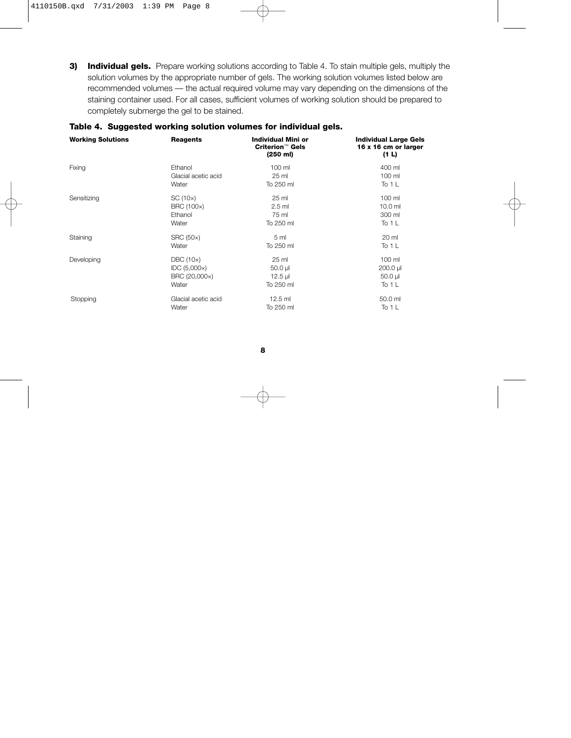**3) Individual gels.** Prepare working solutions according to Table 4. To stain multiple gels, multiply the solution volumes by the appropriate number of gels. The working solution volumes listed below are recommended volumes — the actual required volume may vary depending on the dimensions of the staining container used. For all cases, sufficient volumes of working solution should be prepared to completely submerge the gel to be stained.

| <b>Working Solutions</b> | <b>Reagents</b>     | Individual Mini or<br><b>Criterion™ Gels</b><br>(250 ml) | <b>Individual Large Gels</b><br>16 x 16 cm or larger<br>(1 L) |
|--------------------------|---------------------|----------------------------------------------------------|---------------------------------------------------------------|
| Fixing                   | Ethanol             | 100 ml                                                   | 400 ml                                                        |
|                          | Glacial acetic acid | 25 ml                                                    | 100 ml                                                        |
|                          | Water               | To 250 ml                                                | To 1 L                                                        |
| Sensitizing              | SC(10x)             | 25 ml                                                    | 100 ml                                                        |
|                          | BRC (100x)          | $2.5$ ml                                                 | 10.0 <sub>m</sub>                                             |
|                          | Ethanol             | 75 ml                                                    | 300 ml                                                        |
|                          | Water               | To 250 ml                                                | To 1 $L$                                                      |
| Staining                 | <b>SRC (50x)</b>    | 5 <sub>ml</sub>                                          | 20 ml                                                         |
|                          | Water               | To 250 ml                                                | To 1 L                                                        |
| Developing               | DBC(10x)            | 25 ml                                                    | 100 ml                                                        |
|                          | IDC(5,000x)         | $50.0 \mu$                                               | $200.0 \mu$                                                   |
|                          | BRC (20,000x)       | $12.5$ µl                                                | $50.0 \mu$                                                    |
|                          | Water               | To 250 ml                                                | To 1 $L$                                                      |
| Stopping                 | Glacial acetic acid | $12.5$ ml                                                | 50.0 ml                                                       |
|                          | Water               | To 250 ml                                                | To 1 L                                                        |

### **Table 4. Suggested working solution volumes for individual gels.**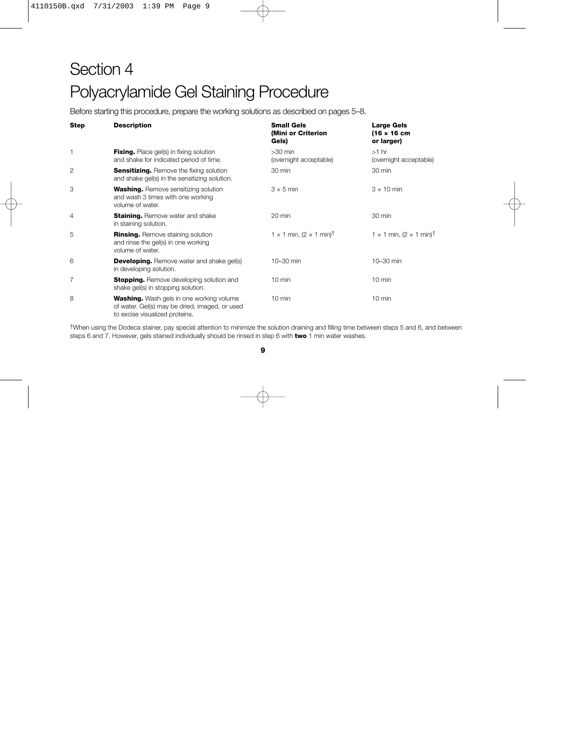# Section 4 Polyacrylamide Gel Staining Procedure

Before starting this procedure, prepare the working solutions as described on pages 5–8.

| <b>Step</b> | <b>Description</b>                                                                                                                  | <b>Small Gels</b><br>(Mini or Criterion<br>Gels)  | <b>Large Gels</b><br>(16 x 16 cm)<br>or larger)   |
|-------------|-------------------------------------------------------------------------------------------------------------------------------------|---------------------------------------------------|---------------------------------------------------|
| 1           | <b>Fixing.</b> Place gel(s) in fixing solution<br>and shake for indicated period of time.                                           | $>30$ min<br>(overnight acceptable)               | $>1$ hr<br>(overnight acceptable)                 |
| 2           | <b>Sensitizing.</b> Remove the fixing solution<br>and shake gel(s) in the sensitizing solution.                                     | 30 min                                            | 30 min                                            |
| 3           | <b>Washing.</b> Remove sensitizing solution<br>and wash 3 times with one working<br>volume of water.                                | $3 \times 5$ min                                  | $3 \times 10$ min                                 |
| 4           | <b>Staining.</b> Remove water and shake<br>in staining solution.                                                                    | 20 min                                            | 30 min                                            |
| 5           | <b>Rinsing.</b> Remove staining solution<br>and rinse the gel(s) in one working<br>volume of water.                                 | $1 \times 1$ min, $(2 \times 1$ min) <sup>†</sup> | 1 $\times$ 1 min, (2 $\times$ 1 min) <sup>†</sup> |
| 6           | <b>Developing.</b> Remove water and shake gel(s)<br>in developing solution.                                                         | 10-30 min                                         | 10-30 min                                         |
| 7           | <b>Stopping.</b> Remove developing solution and<br>shake gel(s) in stopping solution.                                               | $10 \text{ min}$                                  | $10 \text{ min}$                                  |
| 8           | <b>Washing.</b> Wash gels in one working volume<br>of water. Gel(s) may be dried, imaged, or used<br>to excise visualized proteins. | $10 \text{ min}$                                  | $10 \text{ min}$                                  |

†When using the Dodeca stainer, pay special attention to minimize the solution draining and filling time between steps 5 and 6, and between steps 6 and 7. However, gels stained individually should be rinsed in step 6 with **two** 1 min water washes.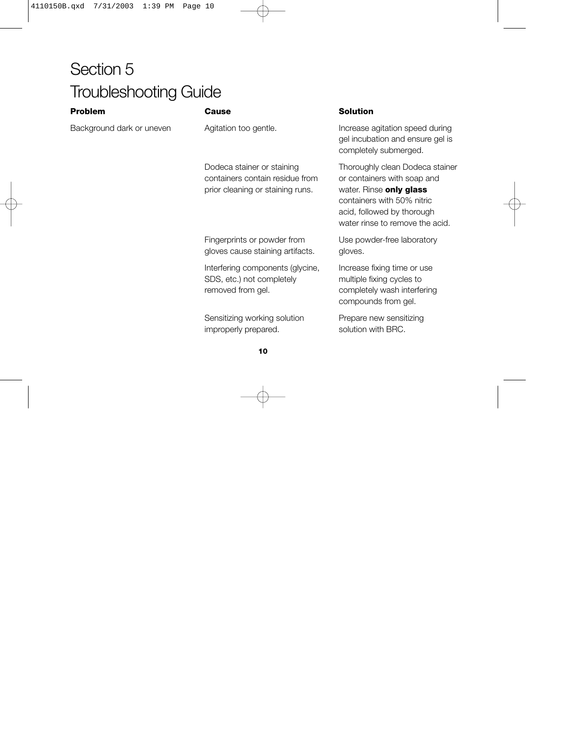## Section 5 Troubleshooting Guide

### **Problem Cause Solution**

containers contain residue from or containers with soap and prior cleaning or staining runs. water. Rinse **only glass**

Fingerprints or powder from Use powder-free laboratory gloves cause staining artifacts. gloves.

Interfering components (glycine, Increase fixing time or use SDS, etc.) not completely multiple fixing cycles to removed from gel. The completely wash interfering

Sensitizing working solution Prepare new sensitizing improperly prepared. solution with BRC.

Background dark or uneven Agitation too gentle. Increase agitation speed during gel incubation and ensure gel is completely submerged.

> Dodeca stainer or staining Thoroughly clean Dodeca stainer containers with 50% nitric acid, followed by thorough water rinse to remove the acid.

compounds from gel.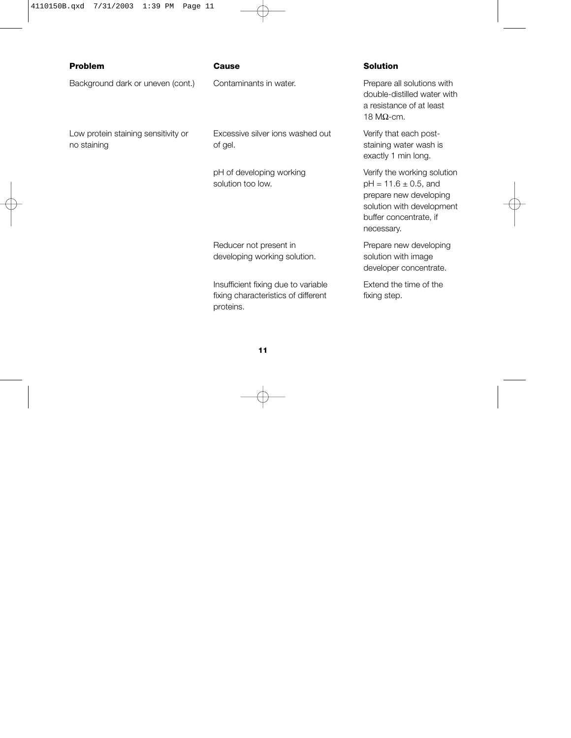Background dark or uneven (cont.) Contaminants in water. Prepare all solutions with

Low protein staining sensitivity or Excessive silver ions washed out Verify that each postno staining and staining of gel. Staining water wash is staining water wash is

solution too low. pH =  $11.6 \pm 0.5$ , and

Reducer not present in Prepare new developing developing working solution. Solution with image

Insufficient fixing due to variable Extend the time of the fixing characteristics of different fixing step. proteins.

### **Problem Cause Solution**

double-distilled water with a resistance of at least 18 MΩ-cm.

exactly 1 min long.

pH of developing working Verify the working solution prepare new developing solution with development buffer concentrate, if necessary.

developer concentrate.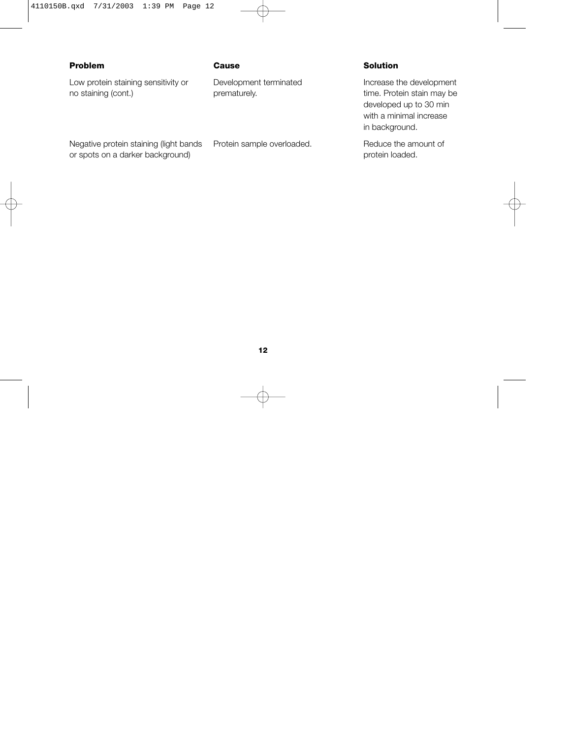### **Problem Cause Solution**

Low protein staining sensitivity or Development terminated Increase the development no staining (cont.) **prematurely.** prematurely. The extension of time. Protein stain may be

developed up to 30 min with a minimal increase in background.

Negative protein staining (light bands Protein sample overloaded. Reduce the amount of or spots on a darker background) and the set of spots or spots on a darker background) by protein loaded.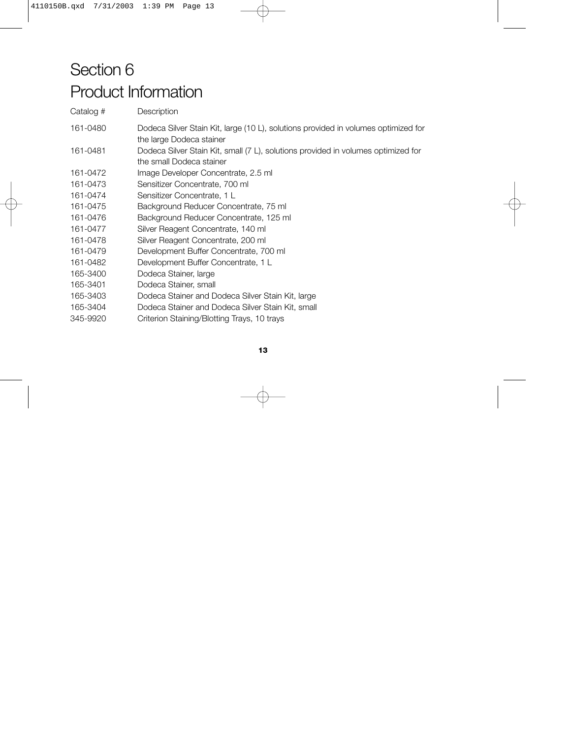## Section 6 Product Information

Catalog # Description 161-0480 Dodeca Silver Stain Kit, large (10 L), solutions provided in volumes optimized for the large Dodeca stainer 161-0481 Dodeca Silver Stain Kit, small (7 L), solutions provided in volumes optimized for the small Dodeca stainer 161-0472 Image Developer Concentrate, 2.5 ml 161-0473 Sensitizer Concentrate, 700 ml 161-0474 Sensitizer Concentrate, 1 L 161-0475 Background Reducer Concentrate, 75 ml 161-0476 Background Reducer Concentrate, 125 ml 161-0477 Silver Reagent Concentrate, 140 ml 161-0478 Silver Reagent Concentrate, 200 ml 161-0479 Development Buffer Concentrate, 700 ml 161-0482 Development Buffer Concentrate, 1 L 165-3400 Dodeca Stainer, large 165-3401 Dodeca Stainer, small 165-3403 Dodeca Stainer and Dodeca Silver Stain Kit, large 165-3404 Dodeca Stainer and Dodeca Silver Stain Kit, small 345-9920 Criterion Staining/Blotting Trays, 10 trays